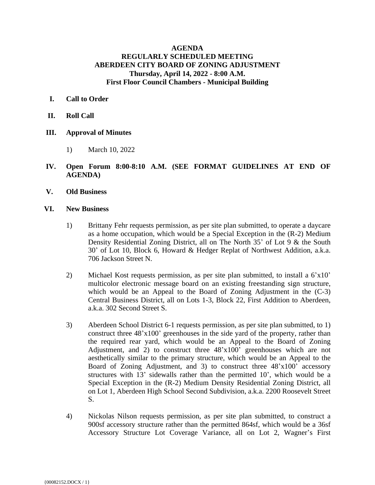## **AGENDA REGULARLY SCHEDULED MEETING ABERDEEN CITY BOARD OF ZONING ADJUSTMENT Thursday, April 14, 2022 - 8:00 A.M. First Floor Council Chambers - Municipal Building**

## **I. Call to Order**

- **II. Roll Call**
- **III. Approval of Minutes**
	- 1) March 10, 2022
- **IV. Open Forum 8:00-8:10 A.M. (SEE FORMAT GUIDELINES AT END OF AGENDA)**
- **V. Old Business**
- **VI. New Business**
	- 1) Brittany Fehr requests permission, as per site plan submitted, to operate a daycare as a home occupation, which would be a Special Exception in the (R-2) Medium Density Residential Zoning District, all on The North 35' of Lot 9 & the South 30' of Lot 10, Block 6, Howard & Hedger Replat of Northwest Addition, a.k.a. 706 Jackson Street N.
	- 2) Michael Kost requests permission, as per site plan submitted, to install a 6'x10' multicolor electronic message board on an existing freestanding sign structure, which would be an Appeal to the Board of Zoning Adjustment in the  $(C-3)$ Central Business District, all on Lots 1-3, Block 22, First Addition to Aberdeen, a.k.a. 302 Second Street S.
	- 3) Aberdeen School District 6-1 requests permission, as per site plan submitted, to 1) construct three 48'x100' greenhouses in the side yard of the property, rather than the required rear yard, which would be an Appeal to the Board of Zoning Adjustment, and 2) to construct three 48'x100' greenhouses which are not aesthetically similar to the primary structure, which would be an Appeal to the Board of Zoning Adjustment, and 3) to construct three 48'x100' accessory structures with 13' sidewalls rather than the permitted 10', which would be a Special Exception in the (R-2) Medium Density Residential Zoning District, all on Lot 1, Aberdeen High School Second Subdivision, a.k.a. 2200 Roosevelt Street S.
	- 4) Nickolas Nilson requests permission, as per site plan submitted, to construct a 900sf accessory structure rather than the permitted 864sf, which would be a 36sf Accessory Structure Lot Coverage Variance, all on Lot 2, Wagner's First